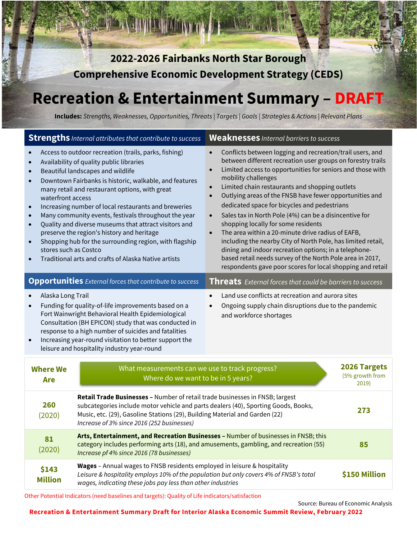**2022-2026 Fairbanks North Star Borough Comprehensive Economic Development Strategy (CEDS)** 

# **Recreation & Entertainment Summary – DRAFT**

**Includes:** *Strengths, Weaknesses, Opportunities, Threats | Targets | Goals | Strategies & Actions | Relevant Plans*

| <b>Strengths</b> Internal attributes that contribute to success                                                                                                                                                                                                                                                                                                     |                                                                                                                                                                                                                                                                                                                                                                                                                                                                                                                                                                                             | <b>Weaknesses</b> Internal barriers to success                                                                                                                                                                                                                                                                                                                                                                                                                                                                                                                                                                                                                                                                                                                                                                              |                                          |
|---------------------------------------------------------------------------------------------------------------------------------------------------------------------------------------------------------------------------------------------------------------------------------------------------------------------------------------------------------------------|---------------------------------------------------------------------------------------------------------------------------------------------------------------------------------------------------------------------------------------------------------------------------------------------------------------------------------------------------------------------------------------------------------------------------------------------------------------------------------------------------------------------------------------------------------------------------------------------|-----------------------------------------------------------------------------------------------------------------------------------------------------------------------------------------------------------------------------------------------------------------------------------------------------------------------------------------------------------------------------------------------------------------------------------------------------------------------------------------------------------------------------------------------------------------------------------------------------------------------------------------------------------------------------------------------------------------------------------------------------------------------------------------------------------------------------|------------------------------------------|
| $\bullet$<br>$\bullet$<br>waterfront access<br>$\bullet$<br>$\bullet$<br>$\bullet$<br>stores such as Costco                                                                                                                                                                                                                                                         | Access to outdoor recreation (trails, parks, fishing)<br>Availability of quality public libraries<br>Beautiful landscapes and wildlife<br>Downtown Fairbanks is historic, walkable, and features<br>many retail and restaurant options, with great<br>Increasing number of local restaurants and breweries<br>Many community events, festivals throughout the year<br>Quality and diverse museums that attract visitors and<br>preserve the region's history and heritage<br>Shopping hub for the surrounding region, with flagship<br>Traditional arts and crafts of Alaska Native artists | Conflicts between logging and recreation/trail users, and<br>$\bullet$<br>between different recreation user groups on forestry trails<br>Limited access to opportunities for seniors and those with<br>mobility challenges<br>Limited chain restaurants and shopping outlets<br>Outlying areas of the FNSB have fewer opportunities and<br>$\bullet$<br>dedicated space for bicycles and pedestrians<br>Sales tax in North Pole (4%) can be a disincentive for<br>$\bullet$<br>shopping locally for some residents<br>The area within a 20-minute drive radius of EAFB,<br>including the nearby City of North Pole, has limited retail,<br>dining and indoor recreation options; in a telephone-<br>based retail needs survey of the North Pole area in 2017,<br>respondents gave poor scores for local shopping and retail |                                          |
|                                                                                                                                                                                                                                                                                                                                                                     | <b>Opportunities</b> External forces that contribute to success                                                                                                                                                                                                                                                                                                                                                                                                                                                                                                                             | Threats External forces that could be barriers to success                                                                                                                                                                                                                                                                                                                                                                                                                                                                                                                                                                                                                                                                                                                                                                   |                                          |
| Alaska Long Trail<br>Funding for quality-of-life improvements based on a<br>$\bullet$<br>Fort Wainwright Behavioral Health Epidemiological<br>Consultation (BH EPICON) study that was conducted in<br>response to a high number of suicides and fatalities<br>Increasing year-round visitation to better support the<br>leisure and hospitality industry year-round |                                                                                                                                                                                                                                                                                                                                                                                                                                                                                                                                                                                             | Land use conflicts at recreation and aurora sites<br>Ongoing supply chain disruptions due to the pandemic<br>$\bullet$<br>and workforce shortages                                                                                                                                                                                                                                                                                                                                                                                                                                                                                                                                                                                                                                                                           |                                          |
| What measurements can we use to track progress?<br><b>Where We</b><br>Where do we want to be in 5 years?<br>Are                                                                                                                                                                                                                                                     |                                                                                                                                                                                                                                                                                                                                                                                                                                                                                                                                                                                             |                                                                                                                                                                                                                                                                                                                                                                                                                                                                                                                                                                                                                                                                                                                                                                                                                             | 2026 Targets<br>(5% growth from<br>2019) |
| 260<br>(2020)                                                                                                                                                                                                                                                                                                                                                       | Retail Trade Businesses - Number of retail trade businesses in FNSB; largest<br>subcategories include motor vehicle and parts dealers (40), Sporting Goods, Books,<br>273<br>Music, etc. (29), Gasoline Stations (29), Building Material and Garden (22)<br>Increase of 3% since 2016 (252 businesses)                                                                                                                                                                                                                                                                                      |                                                                                                                                                                                                                                                                                                                                                                                                                                                                                                                                                                                                                                                                                                                                                                                                                             |                                          |
| 81<br>(2020)                                                                                                                                                                                                                                                                                                                                                        | Arts, Entertainment, and Recreation Businesses - Number of businesses in FNSB; this<br>category includes performing arts (18), and amusements, gambling, and recreation (55)<br>85<br>Increase pf 4% since 2016 (78 businesses)                                                                                                                                                                                                                                                                                                                                                             |                                                                                                                                                                                                                                                                                                                                                                                                                                                                                                                                                                                                                                                                                                                                                                                                                             |                                          |
| \$143<br><b>Million</b>                                                                                                                                                                                                                                                                                                                                             | Wages - Annual wages to FNSB residents employed in leisure & hospitality<br>\$150 Million<br>Leisure & hospitality employs 10% of the population but only covers 4% of FNSB's total<br>wages, indicating these jobs pay less than other industries                                                                                                                                                                                                                                                                                                                                          |                                                                                                                                                                                                                                                                                                                                                                                                                                                                                                                                                                                                                                                                                                                                                                                                                             |                                          |

Other Potential Indicators (need baselines and targets): Quality of Life indicators/satisfaction

Source: Bureau of Economic Analysis

**Recreation & Entertainment Summary Draft for Interior Alaska Economic Summit Review, February 2022**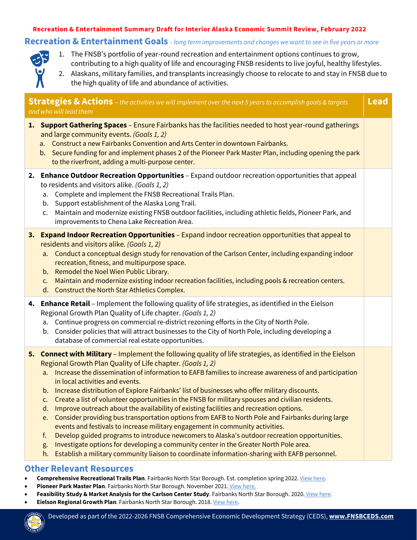#### *Sources: Quarterly Census of Employment and Wages, 2016 and 2020 data* **Recreation & Entertainment Summary Draft for Interior Alaska Economic Summit Review, February 2022**

### **Recreation & Entertainment Goals** *– long term improvements and changes we want to see in five years or more*



- 1. The FNSB's portfolio of year-round recreation and entertainment options continues to grow, contributing to a high quality of life and encouraging FNSB residents to live joyful, healthy lifestyles.
- 2. Alaskans, military families, and transplants increasingly choose to relocate to and stay in FNSB due to the high quality of life and abundance of activities.

| <b>Lead</b><br><b>Strategies &amp; Actions</b> – the activities we will implement over the next 5 years to accomplish goals & targets<br>and who will lead them |                                                                                                                                                                                                                                                                                                                                                                                                                                                                                                                                                                                                                                                                                                                                                                                                                                                                                                                                                                                                                                                                                                                                                                 |  |  |  |
|-----------------------------------------------------------------------------------------------------------------------------------------------------------------|-----------------------------------------------------------------------------------------------------------------------------------------------------------------------------------------------------------------------------------------------------------------------------------------------------------------------------------------------------------------------------------------------------------------------------------------------------------------------------------------------------------------------------------------------------------------------------------------------------------------------------------------------------------------------------------------------------------------------------------------------------------------------------------------------------------------------------------------------------------------------------------------------------------------------------------------------------------------------------------------------------------------------------------------------------------------------------------------------------------------------------------------------------------------|--|--|--|
|                                                                                                                                                                 | 1. Support Gathering Spaces - Ensure Fairbanks has the facilities needed to host year-round gatherings<br>and large community events. (Goals 1, 2)<br>a. Construct a new Fairbanks Convention and Arts Center in downtown Fairbanks.<br>b. Secure funding for and implement phases 2 of the Pioneer Park Master Plan, including opening the park<br>to the riverfront, adding a multi-purpose center.                                                                                                                                                                                                                                                                                                                                                                                                                                                                                                                                                                                                                                                                                                                                                           |  |  |  |
|                                                                                                                                                                 | 2. Enhance Outdoor Recreation Opportunities - Expand outdoor recreation opportunities that appeal<br>to residents and visitors alike. (Goals 1, 2)<br>Complete and implement the FNSB Recreational Trails Plan.<br>a.<br>Support establishment of the Alaska Long Trail.<br>b.<br>Maintain and modernize existing FNSB outdoor facilities, including athletic fields, Pioneer Park, and<br>C.<br>improvements to Chena Lake Recreation Area.                                                                                                                                                                                                                                                                                                                                                                                                                                                                                                                                                                                                                                                                                                                    |  |  |  |
|                                                                                                                                                                 | 3. Expand Indoor Recreation Opportunities - Expand indoor recreation opportunities that appeal to<br>residents and visitors alike. (Goals 1, 2)<br>a. Conduct a conceptual design study for renovation of the Carlson Center, including expanding indoor<br>recreation, fitness, and multipurpose space.<br>Remodel the Noel Wien Public Library.<br>b.<br>Maintain and modernize existing indoor recreation facilities, including pools & recreation centers.<br>C.<br>d. Construct the North Star Athletics Complex.                                                                                                                                                                                                                                                                                                                                                                                                                                                                                                                                                                                                                                          |  |  |  |
|                                                                                                                                                                 | 4. Enhance Retail - Implement the following quality of life strategies, as identified in the Eielson<br>Regional Growth Plan Quality of Life chapter. (Goals 1, 2)<br>Continue progress on commercial re-district rezoning efforts in the City of North Pole.<br>a.<br>b. Consider policies that will attract businesses to the City of North Pole, including developing a<br>database of commercial real estate opportunities.                                                                                                                                                                                                                                                                                                                                                                                                                                                                                                                                                                                                                                                                                                                                 |  |  |  |
|                                                                                                                                                                 | 5. Connect with Military - Implement the following quality of life strategies, as identified in the Eielson<br>Regional Growth Plan Quality of Life chapter. (Goals 1, 2)<br>Increase the dissemination of information to EAFB families to increase awareness of and participation<br>a.<br>in local activities and events.<br>Increase distribution of Explore Fairbanks' list of businesses who offer military discounts.<br>b.<br>Create a list of volunteer opportunities in the FNSB for military spouses and civilian residents.<br>C <sub>1</sub><br>Improve outreach about the availability of existing facilities and recreation options.<br>d.<br>Consider providing bus transportation options from EAFB to North Pole and Fairbanks during large<br>e.<br>events and festivals to increase military engagement in community activities.<br>Develop guided programs to introduce newcomers to Alaska's outdoor recreation opportunities.<br>f.<br>Investigate options for developing a community center in the Greater North Pole area.<br>g.<br>Establish a military community liaison to coordinate information-sharing with EAFB personnel.<br>h. |  |  |  |

### **Other Relevant Resources**

- **Comprehensive Recreational Trails Plan**. Fairbanks North Star Borough. Est. completion spring 2022[. View here.](https://www.fnsbtrailsplan.com/)
- Pioneer Park Master Plan. Fairbanks North Star Borough. November 2021. [View here.](https://www.fairbankspioneerparkplan.com/)
- **Feasibility Study & Market Analysis for the Carlson Center Study**. Fairbanks North Star Borough. 2020. [View here.](https://fairbanksak.myrec.com/documents/fnsb_carlson_center_study_12_2020.pdf)
- **Eielson Regional Growth Plan**. Fairbanks North Star Borough. 2018[. View here.](http://www.eafbregionalgrowth.com/)

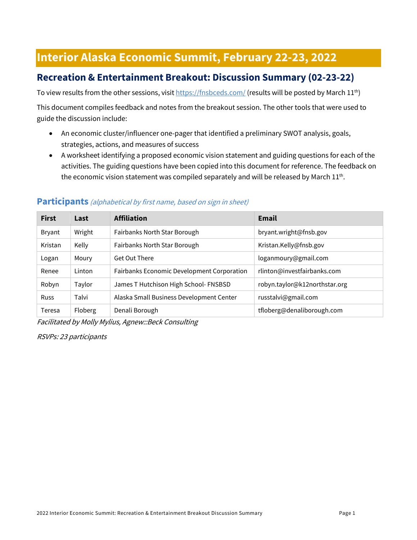# **Interior Alaska Economic Summit, February 22-23, 2022**

# **Recreation & Entertainment Breakout: Discussion Summary (02-23-22)**

To view results from the other sessions, visi[t https://fnsbceds.com/](https://fnsbceds.com/) (results will be posted by March 11<sup>th</sup>)

This document compiles feedback and notes from the breakout session. The other tools that were used to guide the discussion include:

- An economic cluster/influencer one-pager that identified a preliminary SWOT analysis, goals, strategies, actions, and measures of success
- A worksheet identifying a proposed economic vision statement and guiding questions for each of the activities. The guiding questions have been copied into this document for reference. The feedback on the economic vision statement was compiled separately and will be released by March  $11<sup>th</sup>$ .

# **First Last Affiliation Email** Bryant Wright Fairbanks North Star Borough [bryant.wright@fnsb.gov](mailto:bryant.wright@fnsb.gov) Kristan | Kelly | Fairbanks North Star Borough | [Kristan.Kelly@fnsb.gov](mailto:Kristan.Kelly@fnsb.gov) Logan | Moury | Get Out There logannoury@gmail.com Renee Linton Fairbanks Economic Development Corporation [rlinton@investfairbanks.com](mailto:rlinton@investfairbanks.com) Robyn Taylor James T Hutchison High School- FNSBSD robyn.taylor@k12northstar.org Russ Talvi Alaska Small Business Development Center [russtalvi@gmail.com](mailto:russtalvi@gmail.com) Teresa Floberg Denali Borough the Contract Electronic Hildberg@denaliborough.com

#### **Participants** (alphabetical by first name, based on sign in sheet)

Facilitated by Molly Mylius, Agnew::Beck Consulting

RSVPs: 23 participants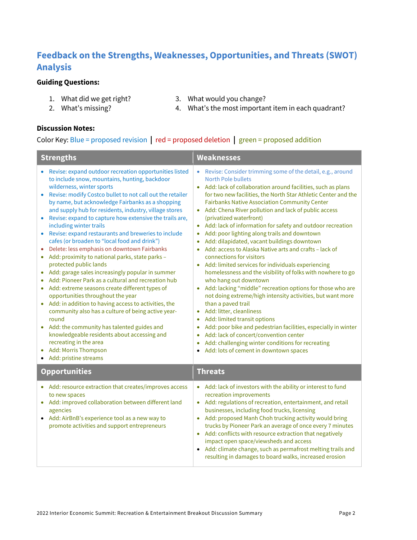# **Feedback on the Strengths, Weaknesses, Opportunities, and Threats (SWOT) Analysis**

#### **Guiding Questions:**

- 1. What did we get right?
- 3. What would you change?
- 2. What's missing?

4. What's the most important item in each quadrant?

#### **Discussion Notes:**

#### Color Key: Blue = proposed revision **|** red = proposed deletion **|** green = proposed addition

| <b>Strengths</b>                                                                                                                                                                                                                                                                                                                                                                                                                                                                                                                                                                                                                                                                                                                                                                                                                                                                                                                                                                                                                                                                                                                                        | <b>Weaknesses</b>                                                                                                                                                                                                                                                                                                                                                                                                                                                                                                                                                                                                                                                                                                                                                                                                                                                                                                                                                                                                                                                                                                                                                                                                                                                  |  |
|---------------------------------------------------------------------------------------------------------------------------------------------------------------------------------------------------------------------------------------------------------------------------------------------------------------------------------------------------------------------------------------------------------------------------------------------------------------------------------------------------------------------------------------------------------------------------------------------------------------------------------------------------------------------------------------------------------------------------------------------------------------------------------------------------------------------------------------------------------------------------------------------------------------------------------------------------------------------------------------------------------------------------------------------------------------------------------------------------------------------------------------------------------|--------------------------------------------------------------------------------------------------------------------------------------------------------------------------------------------------------------------------------------------------------------------------------------------------------------------------------------------------------------------------------------------------------------------------------------------------------------------------------------------------------------------------------------------------------------------------------------------------------------------------------------------------------------------------------------------------------------------------------------------------------------------------------------------------------------------------------------------------------------------------------------------------------------------------------------------------------------------------------------------------------------------------------------------------------------------------------------------------------------------------------------------------------------------------------------------------------------------------------------------------------------------|--|
| Revise: expand outdoor recreation opportunities listed<br>to include snow, mountains, hunting, backdoor<br>wilderness, winter sports<br>Revise: modify Costco bullet to not call out the retailer<br>by name, but acknowledge Fairbanks as a shopping<br>and supply hub for residents, industry, village stores<br>Revise: expand to capture how extensive the trails are,<br>including winter trails<br>Revise: expand restaurants and breweries to include<br>cafes (or broaden to "local food and drink")<br>Delete: less emphasis on downtown Fairbanks<br>Add: proximity to national parks, state parks -<br>protected public lands<br>Add: garage sales increasingly popular in summer<br>Add: Pioneer Park as a cultural and recreation hub<br>Add: extreme seasons create different types of<br>$\bullet$<br>opportunities throughout the year<br>Add: in addition to having access to activities, the<br>community also has a culture of being active year-<br>round<br>Add: the community has talented guides and<br>knowledgeable residents about accessing and<br>recreating in the area<br>Add: Morris Thompson<br>• Add: pristine streams | Revise: Consider trimming some of the detail, e.g., around<br><b>North Pole bullets</b><br>• Add: lack of collaboration around facilities, such as plans<br>for two new facilities, the North Star Athletic Center and the<br><b>Fairbanks Native Association Community Center</b><br>Add: Chena River pollution and lack of public access<br>(privatized waterfront)<br>Add: lack of information for safety and outdoor recreation<br>Add: poor lighting along trails and downtown<br>Add: dilapidated, vacant buildings downtown<br>$\bullet$<br>Add: access to Alaska Native arts and crafts - lack of<br>connections for visitors<br>• Add: limited services for individuals experiencing<br>homelessness and the visibility of folks with nowhere to go<br>who hang out downtown<br>Add: lacking "middle" recreation options for those who are<br>$\bullet$<br>not doing extreme/high intensity activities, but want more<br>than a paved trail<br>Add: litter, cleanliness<br>Add: limited transit options<br>$\bullet$<br>Add: poor bike and pedestrian facilities, especially in winter<br>$\bullet$<br>Add: lack of concert/convention center<br>Add: challenging winter conditions for recreating<br>$\bullet$<br>Add: lots of cement in downtown spaces |  |
| <b>Opportunities</b>                                                                                                                                                                                                                                                                                                                                                                                                                                                                                                                                                                                                                                                                                                                                                                                                                                                                                                                                                                                                                                                                                                                                    | <b>Threats</b>                                                                                                                                                                                                                                                                                                                                                                                                                                                                                                                                                                                                                                                                                                                                                                                                                                                                                                                                                                                                                                                                                                                                                                                                                                                     |  |
| • Add: resource extraction that creates/improves access<br>to new spaces<br>• Add: improved collaboration between different land<br>agencies<br>• Add: AirBnB's experience tool as a new way to<br>promote activities and support entrepreneurs                                                                                                                                                                                                                                                                                                                                                                                                                                                                                                                                                                                                                                                                                                                                                                                                                                                                                                         | • Add: lack of investors with the ability or interest to fund<br>recreation improvements<br>Add: regulations of recreation, entertainment, and retail<br>$\bullet$<br>businesses, including food trucks, licensing<br>Add: proposed Manh Choh trucking activity would bring<br>$\bullet$<br>trucks by Pioneer Park an average of once every 7 minutes<br>• Add: conflicts with resource extraction that negatively<br>impact open space/viewsheds and access<br>Add: climate change, such as permafrost melting trails and<br>resulting in damages to board walks, increased erosion                                                                                                                                                                                                                                                                                                                                                                                                                                                                                                                                                                                                                                                                               |  |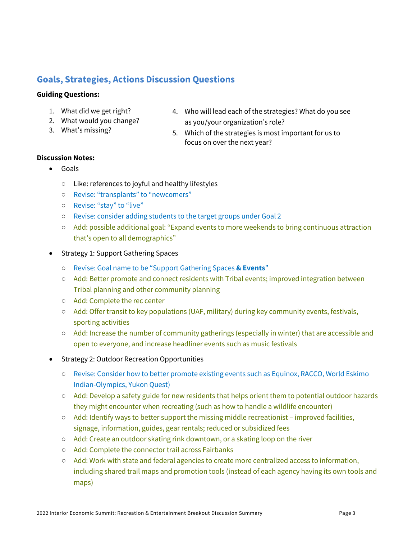# **Goals, Strategies, Actions Discussion Questions**

#### **Guiding Questions:**

- 1. What did we get right?
- 2. What would you change?
- 3. What's missing?
- 4. Who will lead each of the strategies? What do you see as you/your organization's role?
- 5. Which of the strategies is most important for us to focus on over the next year?

#### **Discussion Notes:**

- Goals
	- Like: references to joyful and healthy lifestyles
	- Revise: "transplants" to "newcomers"
	- Revise: "stay" to "live"
	- Revise: consider adding students to the target groups under Goal 2
	- Add: possible additional goal: "Expand events to more weekends to bring continuous attraction that's open to all demographics"
- Strategy 1: Support Gathering Spaces
	- Revise: Goal name to be "Support Gathering Spaces **& Events**"
	- Add: Better promote and connect residents with Tribal events; improved integration between Tribal planning and other community planning
	- Add: Complete the rec center
	- Add: Offer transit to key populations (UAF, military) during key community events, festivals, sporting activities
	- Add: Increase the number of community gatherings (especially in winter) that are accessible and open to everyone, and increase headliner events such as music festivals
- Strategy 2: Outdoor Recreation Opportunities
	- Revise: Consider how to better promote existing events such as Equinox, RACCO, World Eskimo Indian-Olympics, Yukon Quest)
	- Add: Develop a safety guide for new residents that helps orient them to potential outdoor hazards they might encounter when recreating (such as how to handle a wildlife encounter)
	- Add: Identify ways to better support the missing middle recreationist improved facilities, signage, information, guides, gear rentals; reduced or subsidized fees
	- Add: Create an outdoor skating rink downtown, or a skating loop on the river
	- Add: Complete the connector trail across Fairbanks
	- Add: Work with state and federal agencies to create more centralized access to information, including shared trail maps and promotion tools (instead of each agency having its own tools and maps)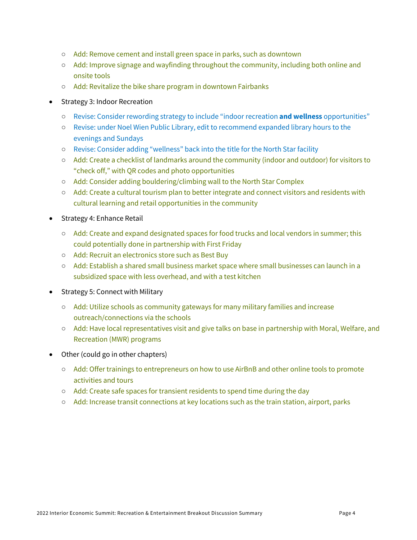- Add: Remove cement and install green space in parks, such as downtown
- Add: Improve signage and wayfinding throughout the community, including both online and onsite tools
- Add: Revitalize the bike share program in downtown Fairbanks
- Strategy 3: Indoor Recreation
	- Revise: Consider rewording strategy to include "indoor recreation **and wellness** opportunities"
	- Revise: under Noel Wien Public Library, edit to recommend expanded library hours to the evenings and Sundays
	- Revise: Consider adding "wellness" back into the title for the North Star facility
	- Add: Create a checklist of landmarks around the community (indoor and outdoor) for visitors to "check off," with QR codes and photo opportunities
	- Add: Consider adding bouldering/climbing wall to the North Star Complex
	- Add: Create a cultural tourism plan to better integrate and connect visitors and residents with cultural learning and retail opportunities in the community
- Strategy 4: Enhance Retail
	- Add: Create and expand designated spaces for food trucks and local vendors in summer; this could potentially done in partnership with First Friday
	- Add: Recruit an electronics store such as Best Buy
	- Add: Establish a shared small business market space where small businesses can launch in a subsidized space with less overhead, and with a test kitchen
- Strategy 5: Connect with Military
	- Add: Utilize schools as community gateways for many military families and increase outreach/connections via the schools
	- Add: Have local representatives visit and give talks on base in partnership with Moral, Welfare, and Recreation (MWR) programs
- Other (could go in other chapters)
	- Add: Offer trainings to entrepreneurs on how to use AirBnB and other online tools to promote activities and tours
	- Add: Create safe spaces for transient residents to spend time during the day
	- Add: Increase transit connections at key locations such as the train station, airport, parks